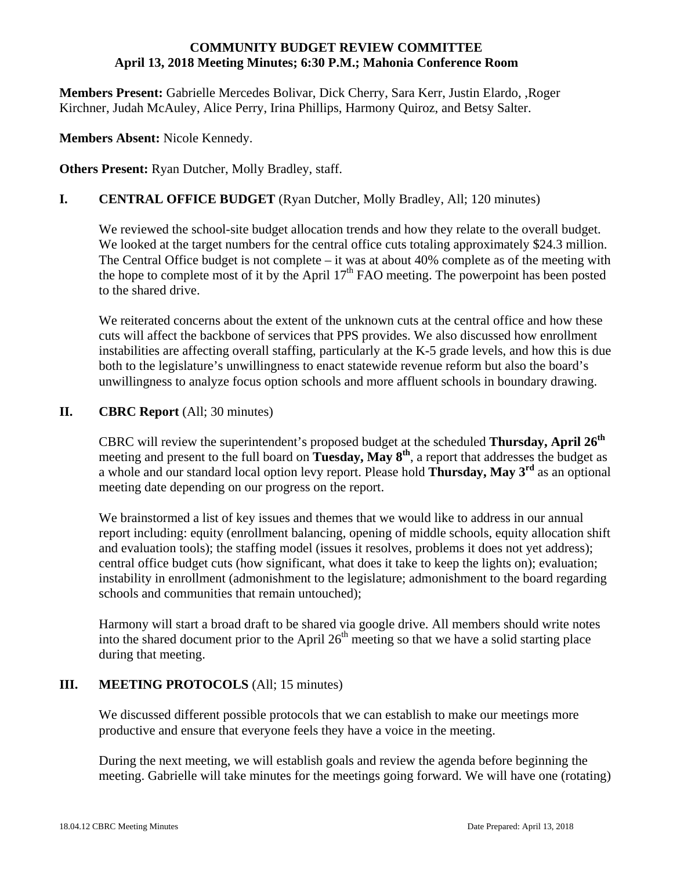#### **COMMUNITY BUDGET REVIEW COMMITTEE April 13, 2018 Meeting Minutes; 6:30 P.M.; Mahonia Conference Room**

**Members Present:** Gabrielle Mercedes Bolivar, Dick Cherry, Sara Kerr, Justin Elardo, ,Roger Kirchner, Judah McAuley, Alice Perry, Irina Phillips, Harmony Quiroz, and Betsy Salter.

**Members Absent:** Nicole Kennedy.

**Others Present:** Ryan Dutcher, Molly Bradley, staff.

# **I. CENTRAL OFFICE BUDGET** (Ryan Dutcher, Molly Bradley, All; 120 minutes)

We reviewed the school-site budget allocation trends and how they relate to the overall budget. We looked at the target numbers for the central office cuts totaling approximately \$24.3 million. The Central Office budget is not complete – it was at about 40% complete as of the meeting with the hope to complete most of it by the April  $17<sup>th</sup>$  FAO meeting. The powerpoint has been posted to the shared drive.

 We reiterated concerns about the extent of the unknown cuts at the central office and how these cuts will affect the backbone of services that PPS provides. We also discussed how enrollment instabilities are affecting overall staffing, particularly at the K-5 grade levels, and how this is due both to the legislature's unwillingness to enact statewide revenue reform but also the board's unwillingness to analyze focus option schools and more affluent schools in boundary drawing.

# **II. CBRC Report** (All; 30 minutes)

 CBRC will review the superintendent's proposed budget at the scheduled **Thursday, April 26th** meeting and present to the full board on **Tuesday, May 8<sup>th</sup>**, a report that addresses the budget as a whole and our standard local option levy report. Please hold **Thursday, May 3rd** as an optional meeting date depending on our progress on the report.

 We brainstormed a list of key issues and themes that we would like to address in our annual report including: equity (enrollment balancing, opening of middle schools, equity allocation shift and evaluation tools); the staffing model (issues it resolves, problems it does not yet address); central office budget cuts (how significant, what does it take to keep the lights on); evaluation; instability in enrollment (admonishment to the legislature; admonishment to the board regarding schools and communities that remain untouched);

 Harmony will start a broad draft to be shared via google drive. All members should write notes into the shared document prior to the April  $26<sup>th</sup>$  meeting so that we have a solid starting place during that meeting.

# **III.** MEETING PROTOCOLS (All; 15 minutes)

 We discussed different possible protocols that we can establish to make our meetings more productive and ensure that everyone feels they have a voice in the meeting.

 During the next meeting, we will establish goals and review the agenda before beginning the meeting. Gabrielle will take minutes for the meetings going forward. We will have one (rotating)